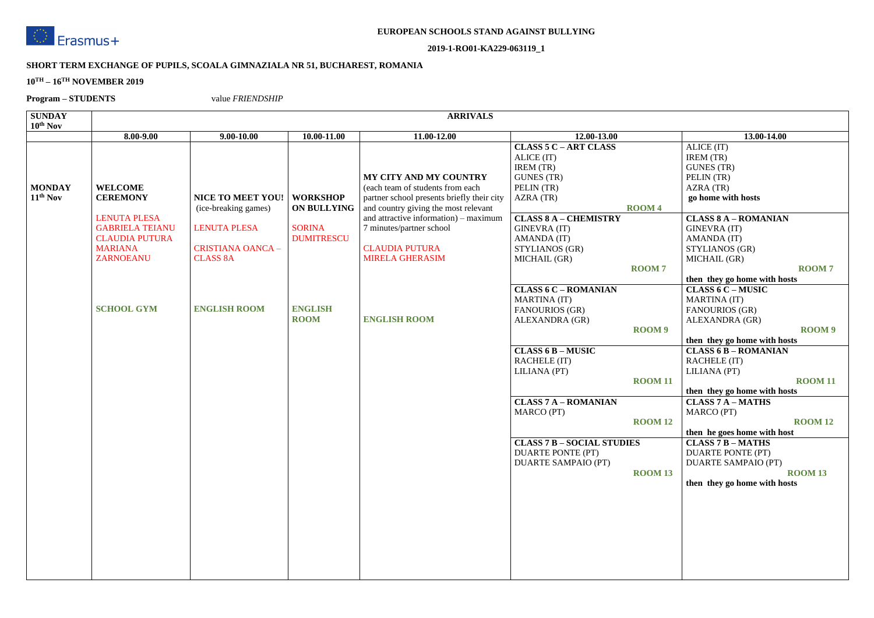

#### **2019-1-RO01-KA229-063119\_1**

### **SHORT TERM EXCHANGE OF PUPILS, SCOALA GIMNAZIALA NR 51, BUCHAREST, ROMANIA**

#### **10TH – 16TH NOVEMBER 2019**

**Program – STUDENTS** value *FRIENDSHIP*

| <b>SUNDAY</b>                                |                                                                                                                                                                        |                                                                                                                                               |                                                                                                              | <b>ARRIVALS</b>                                                                                                                                                                                                                                                                                        |                                                                                                                                                                                                                                                                                                                                                                                                                                                                                                                          |                                                                                                   |                                                                                                                                                                                                                                                                                                                                                                                                                                                                                                                                                                                                                                                                   |
|----------------------------------------------|------------------------------------------------------------------------------------------------------------------------------------------------------------------------|-----------------------------------------------------------------------------------------------------------------------------------------------|--------------------------------------------------------------------------------------------------------------|--------------------------------------------------------------------------------------------------------------------------------------------------------------------------------------------------------------------------------------------------------------------------------------------------------|--------------------------------------------------------------------------------------------------------------------------------------------------------------------------------------------------------------------------------------------------------------------------------------------------------------------------------------------------------------------------------------------------------------------------------------------------------------------------------------------------------------------------|---------------------------------------------------------------------------------------------------|-------------------------------------------------------------------------------------------------------------------------------------------------------------------------------------------------------------------------------------------------------------------------------------------------------------------------------------------------------------------------------------------------------------------------------------------------------------------------------------------------------------------------------------------------------------------------------------------------------------------------------------------------------------------|
|                                              | 8.00-9.00                                                                                                                                                              | $9.00 - 10.00$                                                                                                                                | 10.00-11.00                                                                                                  | 11.00-12.00                                                                                                                                                                                                                                                                                            | 12.00-13.00                                                                                                                                                                                                                                                                                                                                                                                                                                                                                                              |                                                                                                   |                                                                                                                                                                                                                                                                                                                                                                                                                                                                                                                                                                                                                                                                   |
| $10^{th}$ Nov<br><b>MONDAY</b><br>$11th$ Nov | <b>WELCOME</b><br><b>CEREMONY</b><br><b>LENUTA PLESA</b><br><b>GABRIELA TEIANU</b><br><b>CLAUDIA PUTURA</b><br><b>MARIANA</b><br><b>ZARNOEANU</b><br><b>SCHOOL GYM</b> | <b>NICE TO MEET YOU!</b><br>(ice-breaking games)<br><b>LENUTA PLESA</b><br><b>CRISTIANA OANCA -</b><br><b>CLASS 8A</b><br><b>ENGLISH ROOM</b> | <b>WORKSHOP</b><br><b>ON BULLYING</b><br><b>SORINA</b><br><b>DUMITRESCU</b><br><b>ENGLISH</b><br><b>ROOM</b> | <b>MY CITY AND MY COUNTRY</b><br>(each team of students from each<br>partner school presents briefly their city<br>and country giving the most relevant<br>and attractive information) – maximum<br>7 minutes/partner school<br><b>CLAUDIA PUTURA</b><br><b>MIRELA GHERASIM</b><br><b>ENGLISH ROOM</b> | <b>CLASS 5 C - ART CLASS</b><br>ALICE (IT)<br>IREM (TR)<br><b>GUNES</b> (TR)<br>PELIN (TR)<br>AZRA (TR)<br><b>CLASS 8 A - CHEMISTRY</b><br><b>GINEVRA (IT)</b><br>AMANDA (IT)<br>STYLIANOS (GR)<br>MICHAIL (GR)<br><b>CLASS 6 C - ROMANIAN</b><br><b>MARTINA</b> (IT)<br><b>FANOURIOS (GR)</b><br>ALEXANDRA (GR)<br><b>CLASS 6 B - MUSIC</b><br><b>RACHELE (IT)</b><br>LILIANA (PT)<br><b>CLASS 7 A - ROMANIAN</b><br>MARCO (PT)<br><b>CLASS 7 B - SOCIAL STUDIES</b><br><b>DUARTE PONTE (PT)</b><br>DUARTE SAMPAIO (PT) | ROOM <sub>4</sub><br><b>ROOM7</b><br>ROOM 9<br><b>ROOM 11</b><br><b>ROOM 12</b><br><b>ROOM 13</b> | 13.00-14.00<br>ALICE (IT)<br>IREM (TR)<br><b>GUNES</b> (TR)<br>PELIN (TR)<br>AZRA (TR)<br>go home with hosts<br><b>CLASS 8 A - ROMANIAN</b><br><b>GINEVRA (IT)</b><br>AMANDA (IT)<br>STYLIANOS (GR)<br>MICHAIL (GR)<br>then they go home with ho<br><b>CLASS 6 C - MUSIC</b><br><b>MARTINA</b> (IT)<br><b>FANOURIOS (GR)</b><br>ALEXANDRA (GR)<br>then they go home with ho<br><b>CLASS 6 B - ROMANIAN</b><br><b>RACHELE (IT)</b><br>LILIANA (PT)<br>then they go home with ho<br><b>CLASS 7 A - MATHS</b><br><b>MARCO</b> (PT)<br>then he goes home with ho<br><b>CLASS 7 B - MATHS</b><br>DUARTE PONTE (PT)<br>DUARTE SAMPAIO (PT)<br>then they go home with ho |
|                                              |                                                                                                                                                                        |                                                                                                                                               |                                                                                                              |                                                                                                                                                                                                                                                                                                        |                                                                                                                                                                                                                                                                                                                                                                                                                                                                                                                          |                                                                                                   |                                                                                                                                                                                                                                                                                                                                                                                                                                                                                                                                                                                                                                                                   |

|           | 13.00-14.00                  |
|-----------|------------------------------|
|           | ALICE (IT)                   |
|           | IREM (TR)                    |
|           | <b>GUNES (TR)</b>            |
|           | PELIN (TR)                   |
|           | AZRA (TR)                    |
|           | go home with hosts           |
|           |                              |
|           | <b>CLASS 8 A - ROMANIAN</b>  |
|           | <b>GINEVRA (IT)</b>          |
|           | AMANDA (IT)                  |
|           | STYLIANOS (GR)               |
|           | MICHAIL (GR)                 |
| 7         | <b>ROOM7</b>                 |
|           | then they go home with hosts |
|           | <b>CLASS 6 C - MUSIC</b>     |
|           | <b>MARTINA</b> (IT)          |
|           | <b>FANOURIOS (GR)</b>        |
|           | ALEXANDRA (GR)               |
| <b>19</b> | <b>ROOM9</b>                 |
|           | then they go home with hosts |
|           | <b>CLASS 6 B - ROMANIAN</b>  |
|           | <b>RACHELE (IT)</b>          |
|           | LILIANA (PT)                 |
| 111       | <b>ROOM 11</b>               |
|           | then they go home with hosts |
|           | <b>CLASS 7 A - MATHS</b>     |
|           | MARCO (PT)                   |
| I 12      | <b>ROOM 12</b>               |
|           | then he goes home with host  |
|           | <b>CLASS 7 B - MATHS</b>     |
|           | <b>DUARTE PONTE (PT)</b>     |
|           | <b>DUARTE SAMPAIO (PT)</b>   |
| I 13      | <b>ROOM 13</b>               |
|           | then they go home with hosts |
|           |                              |
|           |                              |
|           |                              |
|           |                              |
|           |                              |
|           |                              |
|           |                              |
|           |                              |
|           |                              |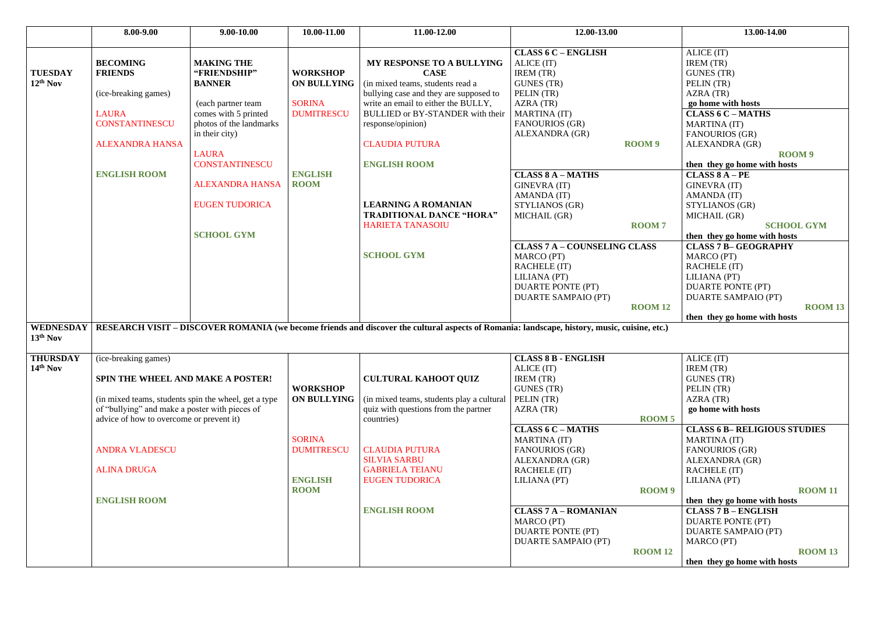|                               | 8.00-9.00                                                                                                                                                                                                                            | $9.00 - 10.00$                                                                                                                                                                                                                                                 | 10.00-11.00                                                                                                  | 11.00-12.00                                                                                                                                                                                                                                                                                                                                                                                    | 12.00-13.00                                                                                                                                                                                                                                                                                                                                                                                                                |                                    | 13.00-14.00                                                                                                                                                                                                                                                                                                                                                                                                                                                                                                             |
|-------------------------------|--------------------------------------------------------------------------------------------------------------------------------------------------------------------------------------------------------------------------------------|----------------------------------------------------------------------------------------------------------------------------------------------------------------------------------------------------------------------------------------------------------------|--------------------------------------------------------------------------------------------------------------|------------------------------------------------------------------------------------------------------------------------------------------------------------------------------------------------------------------------------------------------------------------------------------------------------------------------------------------------------------------------------------------------|----------------------------------------------------------------------------------------------------------------------------------------------------------------------------------------------------------------------------------------------------------------------------------------------------------------------------------------------------------------------------------------------------------------------------|------------------------------------|-------------------------------------------------------------------------------------------------------------------------------------------------------------------------------------------------------------------------------------------------------------------------------------------------------------------------------------------------------------------------------------------------------------------------------------------------------------------------------------------------------------------------|
| <b>TUESDAY</b><br>$12th$ Nov  | <b>BECOMING</b><br><b>FRIENDS</b><br>(ice-breaking games)<br><b>LAURA</b><br><b>CONSTANTINESCU</b><br><b>ALEXANDRA HANSA</b><br><b>ENGLISH ROOM</b>                                                                                  | <b>MAKING THE</b><br>"FRIENDSHIP"<br><b>BANNER</b><br>(each partner team<br>comes with 5 printed<br>photos of the landmarks<br>in their city)<br><b>LAURA</b><br><b>CONSTANTINESCU</b><br><b>ALEXANDRA HANSA</b><br><b>EUGEN TUDORICA</b><br><b>SCHOOL GYM</b> | <b>WORKSHOP</b><br><b>ON BULLYING</b><br><b>SORINA</b><br><b>DUMITRESCU</b><br><b>ENGLISH</b><br><b>ROOM</b> | MY RESPONSE TO A BULLYING<br><b>CASE</b><br>(in mixed teams, students read a<br>bullying case and they are supposed to<br>write an email to either the BULLY,<br><b>BULLIED or BY-STANDER with their</b><br>response/opinion)<br><b>CLAUDIA PUTURA</b><br><b>ENGLISH ROOM</b><br><b>LEARNING A ROMANIAN</b><br><b>TRADITIONAL DANCE "HORA"</b><br><b>HARIETA TANASOIU</b><br><b>SCHOOL GYM</b> | <b>CLASS 6 C - ENGLISH</b><br>ALICE (IT)<br>IREM (TR)<br><b>GUNES</b> (TR)<br>PELIN (TR)<br>AZRA (TR)<br><b>MARTINA</b> (IT)<br><b>FANOURIOS (GR)</b><br>ALEXANDRA (GR)<br><b>CLASS 8 A - MATHS</b><br><b>GINEVRA (IT)</b><br>AMANDA (IT)<br>STYLIANOS (GR)<br>MICHAIL (GR)<br><b>CLASS 7 A - COUNSELING CLASS</b><br>MARCO (PT)<br><b>RACHELE (IT)</b><br>LILIANA (PT)<br><b>DUARTE PONTE (PT)</b><br>DUARTE SAMPAIO (PT) | ROOM 9<br><b>ROOM7</b>             | ALICE (IT)<br>IREM (TR)<br><b>GUNES</b> (TR)<br>PELIN (TR)<br>AZRA (TR)<br>go home with hosts<br><b>CLASS 6 C - MATHS</b><br><b>MARTINA</b> (IT)<br><b>FANOURIOS (GR)</b><br>ALEXANDRA (GR)<br><b>RO</b><br>then they go home with host<br>$CLASS 8 A - PE$<br><b>GINEVRA (IT)</b><br>AMANDA (IT)<br>STYLIANOS (GR)<br>MICHAIL (GR)<br><b>SCHO</b><br>then they go home with host<br><b>CLASS 7 B-GEOGRAPHY</b><br><b>MARCO</b> (PT)<br>RACHELE (IT)<br>LILIANA (PT)<br><b>DUARTE PONTE (PT)</b><br>DUARTE SAMPAIO (PT) |
| <b>WEDNESDAY</b><br>13th Nov  |                                                                                                                                                                                                                                      |                                                                                                                                                                                                                                                                |                                                                                                              | RESEARCH VISIT – DISCOVER ROMANIA (we become friends and discover the cultural aspects of Romania: landscape, history, music, cuisine, etc.)                                                                                                                                                                                                                                                   |                                                                                                                                                                                                                                                                                                                                                                                                                            | <b>ROOM 12</b>                     | then they go home with host                                                                                                                                                                                                                                                                                                                                                                                                                                                                                             |
| <b>THURSDAY</b><br>$14th$ Nov | (ice-breaking games)<br><b>SPIN THE WHEEL AND MAKE A POSTER!</b><br>of "bullying" and make a poster with pieces of<br>advice of how to overcome or prevent it)<br><b>ANDRA VLADESCU</b><br><b>ALINA DRUGA</b><br><b>ENGLISH ROOM</b> | (in mixed teams, students spin the wheel, get a type                                                                                                                                                                                                           | <b>WORKSHOP</b><br><b>ON BULLYING</b><br><b>SORINA</b><br><b>DUMITRESCU</b><br><b>ENGLISH</b><br><b>ROOM</b> | <b>CULTURAL KAHOOT QUIZ</b><br>(in mixed teams, students play a cultural<br>quiz with questions from the partner<br>countries)<br><b>CLAUDIA PUTURA</b><br><b>SILVIA SARBU</b><br><b>GABRIELA TEIANU</b><br><b>EUGEN TUDORICA</b><br><b>ENGLISH ROOM</b>                                                                                                                                       | <b>CLASS 8 B - ENGLISH</b><br>ALICE (IT)<br><b>IREM</b> (TR)<br><b>GUNES</b> (TR)<br>PELIN (TR)<br>AZRA (TR)<br><b>CLASS 6 C - MATHS</b><br><b>MARTINA</b> (IT)<br><b>FANOURIOS (GR)</b><br><b>ALEXANDRA (GR)</b><br><b>RACHELE (IT)</b><br>LILIANA (PT)<br><b>CLASS 7 A - ROMANIAN</b><br>MARCO (PT)<br><b>DUARTE PONTE (PT)</b><br>DUARTE SAMPAIO (PT)                                                                   | ROOM 5<br>ROOM 9<br><b>ROOM 12</b> | ALICE (IT)<br>IREM (TR)<br><b>GUNES</b> (TR)<br>PELIN (TR)<br>AZRA(TR)<br>go home with hosts<br><b>CLASS 6 B-RELIGIOUS S</b><br><b>MARTINA</b> (IT)<br><b>FANOURIOS (GR)</b><br>ALEXANDRA (GR)<br><b>RACHELE (IT)</b><br>LILIANA (PT)<br>then they go home with host<br><b>CLASS 7 B - ENGLISH</b><br><b>DUARTE PONTE (PT)</b><br>DUARTE SAMPAIO (PT)<br><b>MARCO</b> (PT)<br>then they go home with host                                                                                                               |

| $2.00 - 13.00$            | 13.00-14.00                                      |
|---------------------------|--------------------------------------------------|
| <b>GLISH</b>              | ALICE (IT)                                       |
|                           | IREM (TR)                                        |
|                           | <b>GUNES (TR)</b>                                |
|                           | PELIN (TR)                                       |
|                           | AZRA (TR)                                        |
|                           | go home with hosts                               |
|                           | <b>CLASS 6 C - MATHS</b>                         |
|                           | <b>MARTINA</b> (IT)                              |
| R)                        | <b>FANOURIOS (GR)</b>                            |
| <b>ROOM9</b>              | ALEXANDRA (GR)                                   |
|                           | ROOM <sub>9</sub>                                |
|                           | then they go home with hosts<br>$CLASS 8 A - PE$ |
| <b>THS</b>                |                                                  |
|                           | <b>GINEVRA (IT)</b><br>AMANDA (IT)               |
|                           | STYLIANOS (GR)                                   |
|                           | MICHAIL (GR)                                     |
| <b>ROOM7</b>              | <b>SCHOOL GYM</b>                                |
|                           | then they go home with hosts                     |
| <b>UNSELING CLASS</b>     | <b>CLASS 7 B- GEOGRAPHY</b>                      |
|                           | <b>MARCO</b> (PT)                                |
|                           | <b>RACHELE (IT)</b>                              |
|                           | LILIANA (PT)                                     |
| (PT)                      | DUARTE PONTE (PT)                                |
| IO (PT)                   | <b>DUARTE SAMPAIO (PT)</b>                       |
| <b>ROOM 12</b>            | <b>ROOM 13</b>                                   |
|                           | then they go home with hosts                     |
| ry, music, cuisine, etc.) |                                                  |
|                           |                                                  |
| <b>LISH</b>               | ALICE (IT)                                       |
|                           | IREM (TR)                                        |
|                           | <b>GUNES (TR)</b><br>PELIN (TR)                  |
|                           | AZRA (TR)                                        |
|                           | go home with hosts                               |
| <b>ROOM5</b>              |                                                  |
| THS                       | <b>CLASS 6 B- RELIGIOUS STUDIES</b>              |
|                           | <b>MARTINA</b> (IT)                              |
|                           | <b>FANOURIOS (GR)</b>                            |
| R)                        | ALEXANDRA (GR)                                   |
|                           | <b>RACHELE (IT)</b>                              |
|                           | LILIANA (PT)                                     |
| ROOM <sub>9</sub>         | <b>ROOM 11</b>                                   |
|                           | then they go home with hosts                     |
| <b>MANIAN</b>             | <b>CLASS 7 B - ENGLISH</b>                       |
|                           | DUARTE PONTE (PT)                                |
| (PT)                      | DUARTE SAMPAIO (PT)                              |
| IO (PT)<br><b>ROOM 12</b> | <b>MARCO</b> (PT)<br><b>ROOM 13</b>              |
|                           | then they go home with hosts                     |
|                           |                                                  |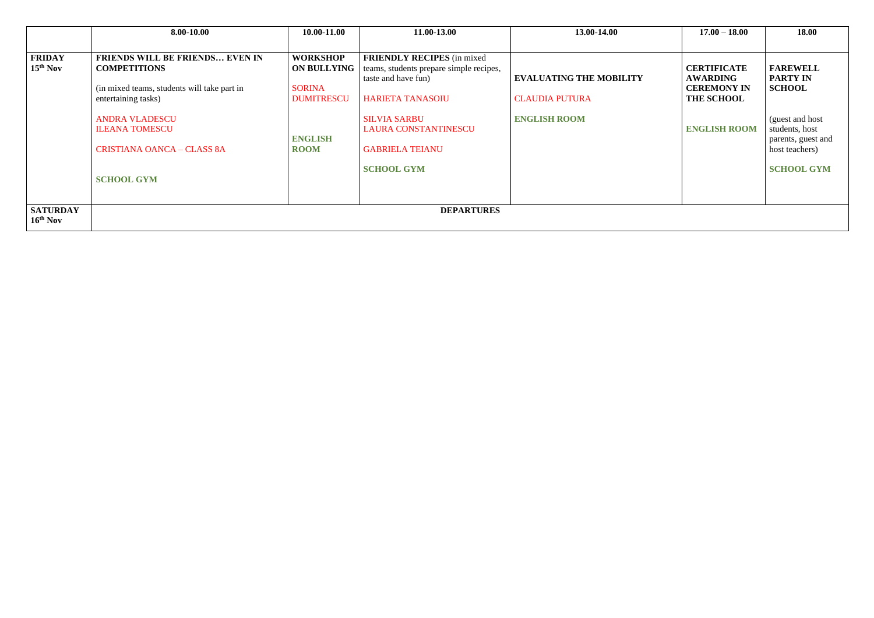|                               | 8.00-10.00                                                                                                                          | 10.00-11.00                                                                 | 11.00-13.00                                                                                                                     | 13.00-14.00                                             | $17.00 - 18.00$                                                                  | 18.00                                                                      |
|-------------------------------|-------------------------------------------------------------------------------------------------------------------------------------|-----------------------------------------------------------------------------|---------------------------------------------------------------------------------------------------------------------------------|---------------------------------------------------------|----------------------------------------------------------------------------------|----------------------------------------------------------------------------|
|                               |                                                                                                                                     |                                                                             |                                                                                                                                 |                                                         |                                                                                  |                                                                            |
| <b>FRIDAY</b><br>$15th$ Nov   | <b>FRIENDS WILL BE FRIENDS EVEN IN</b><br><b>COMPETITIONS</b><br>(in mixed teams, students will take part in<br>entertaining tasks) | <b>WORKSHOP</b><br><b>ON BULLYING</b><br><b>SORINA</b><br><b>DUMITRESCU</b> | <b>FRIENDLY RECIPES</b> (in mixed)<br>teams, students prepare simple recipes,<br>taste and have fun)<br><b>HARIETA TANASOIU</b> | <b>EVALUATING THE MOBILITY</b><br><b>CLAUDIA PUTURA</b> | <b>CERTIFICATE</b><br><b>AWARDING</b><br><b>CEREMONY IN</b><br><b>THE SCHOOL</b> | <b>FAREWELL</b><br><b>PARTY IN</b><br><b>SCHOOL</b>                        |
|                               | <b>ANDRA VLADESCU</b><br><b>ILEANA TOMESCU</b><br><b>CRISTIANA OANCA - CLASS 8A</b>                                                 | <b>ENGLISH</b><br><b>ROOM</b>                                               | <b>SILVIA SARBU</b><br><b>LAURA CONSTANTINESCU</b><br><b>GABRIELA TEIANU</b>                                                    | <b>ENGLISH ROOM</b>                                     | <b>ENGLISH ROOM</b>                                                              | (guest and host)<br>students, host<br>parents, guest and<br>host teachers) |
|                               | <b>SCHOOL GYM</b>                                                                                                                   |                                                                             | <b>SCHOOL GYM</b>                                                                                                               |                                                         |                                                                                  | <b>SCHOOL GYM</b>                                                          |
| <b>SATURDAY</b><br>$16th$ Nov |                                                                                                                                     |                                                                             | <b>DEPARTURES</b>                                                                                                               |                                                         |                                                                                  |                                                                            |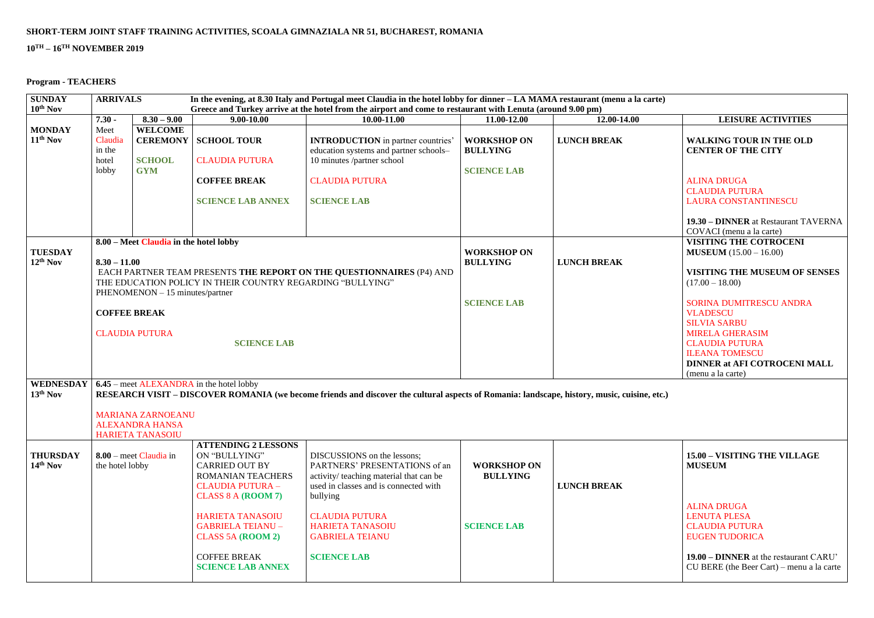## **SHORT-TERM JOINT STAFF TRAINING ACTIVITIES, SCOALA GIMNAZIALA NR 51, BUCHAREST, ROMANIA**

# **10TH – 16TH NOVEMBER 2019**

## **Program - TEACHERS**

| Ľ) |                                                                         |
|----|-------------------------------------------------------------------------|
|    | <b>LEISURE ACTIVITIES</b>                                               |
|    | <b>WALKING TOUR IN THE OLD</b><br><b>CENTER OF THE CITY</b>             |
|    | <b>ALINA DRUGA</b>                                                      |
|    | <b>CLAUDIA PUTURA</b>                                                   |
|    | <b>LAURA CONSTANTINESCU</b>                                             |
|    | <b>19.30 – DINNER</b> at Restaurant TAVERNA<br>COVACI (menu a la carte) |
|    | <b>VISITING THE COTROCENI</b>                                           |
|    | <b>MUSEUM</b> $(15.00 - 16.00)$                                         |
|    | <b>VISITING THE MUSEUM OF SENSES</b><br>$(17.00 - 18.00)$               |
|    | <b>SORINA DUMITRESCU ANDRA</b><br><b>VLADESCU</b>                       |
|    | <b>SILVIA SARBU</b>                                                     |
|    | <b>MIRELA GHERASIM</b>                                                  |
|    | <b>CLAUDIA PUTURA</b>                                                   |
|    | <b>ILEANA TOMESCU</b>                                                   |
|    | <b>DINNER at AFI COTROCENI MALL</b>                                     |
|    | (menu a la carte).                                                      |

| <b>SUNDAY</b>                 | <b>ARRIVALS</b><br>In the evening, at 8.30 Italy and Portugal meet Claudia in the hotel lobby for dinner - LA MAMA restaurant (menu a la carte)                                                                                                                                                         |                                                                               |                                                                                                                                                                                                                                                                                             |                                                                                                                                                                                                                                                                  |                                                             |                                                                                                                                                                                                                                                                                                                                                   |                                                                                                                                                                                                                                       |  |
|-------------------------------|---------------------------------------------------------------------------------------------------------------------------------------------------------------------------------------------------------------------------------------------------------------------------------------------------------|-------------------------------------------------------------------------------|---------------------------------------------------------------------------------------------------------------------------------------------------------------------------------------------------------------------------------------------------------------------------------------------|------------------------------------------------------------------------------------------------------------------------------------------------------------------------------------------------------------------------------------------------------------------|-------------------------------------------------------------|---------------------------------------------------------------------------------------------------------------------------------------------------------------------------------------------------------------------------------------------------------------------------------------------------------------------------------------------------|---------------------------------------------------------------------------------------------------------------------------------------------------------------------------------------------------------------------------------------|--|
| 10 <sup>th</sup> Nov          |                                                                                                                                                                                                                                                                                                         |                                                                               |                                                                                                                                                                                                                                                                                             | Greece and Turkey arrive at the hotel from the airport and come to restaurant with Lenuta (around 9.00 pm)                                                                                                                                                       |                                                             |                                                                                                                                                                                                                                                                                                                                                   |                                                                                                                                                                                                                                       |  |
|                               | $7.30 -$                                                                                                                                                                                                                                                                                                | $8.30 - 9.00$                                                                 | $9.00 - 10.00$                                                                                                                                                                                                                                                                              | 10.00-11.00                                                                                                                                                                                                                                                      | 11.00-12.00                                                 | 12.00-14.00                                                                                                                                                                                                                                                                                                                                       | <b>LEISURE ACTIVITIES</b>                                                                                                                                                                                                             |  |
| <b>MONDAY</b><br>$11th$ Nov   | Meet<br>Claudia<br>in the<br>hotel                                                                                                                                                                                                                                                                      | <b>WELCOME</b><br><b>SCHOOL</b>                                               | <b>CEREMONY   SCHOOL TOUR</b><br><b>CLAUDIA PUTURA</b>                                                                                                                                                                                                                                      | <b>INTRODUCTION</b> in partner countries'<br>education systems and partner schools-<br>10 minutes /partner school                                                                                                                                                | <b>WORKSHOP ON</b><br><b>BULLYING</b>                       | <b>LUNCH BREAK</b>                                                                                                                                                                                                                                                                                                                                | <b>WALKING TOUR IN THE OLD</b><br><b>CENTER OF THE CITY</b>                                                                                                                                                                           |  |
|                               | lobby                                                                                                                                                                                                                                                                                                   | <b>GYM</b>                                                                    | <b>COFFEE BREAK</b><br><b>SCIENCE LAB ANNEX</b>                                                                                                                                                                                                                                             | <b>CLAUDIA PUTURA</b><br><b>SCIENCE LAB</b>                                                                                                                                                                                                                      | <b>SCIENCE LAB</b>                                          |                                                                                                                                                                                                                                                                                                                                                   | <b>ALINA DRUGA</b><br><b>CLAUDIA PUTURA</b><br><b>LAURA CONSTANTINESCU</b><br>19.30 - DINNER at Restaurant TAVERNA<br>COVACI (menu a la carte)                                                                                        |  |
| <b>TUESDAY</b><br>$12th$ Nov  | 8.00 – Meet Claudia in the hotel lobby<br>$8.30 - 11.00$<br>EACH PARTNER TEAM PRESENTS THE REPORT ON THE QUESTIONNAIRES (P4) AND<br>THE EDUCATION POLICY IN THEIR COUNTRY REGARDING "BULLYING"<br>PHENOMENON - 15 minutes/partner<br><b>COFFEE BREAK</b><br><b>CLAUDIA PUTURA</b><br><b>SCIENCE LAB</b> |                                                                               |                                                                                                                                                                                                                                                                                             | <b>WORKSHOP ON</b><br><b>BULLYING</b><br><b>SCIENCE LAB</b>                                                                                                                                                                                                      | <b>LUNCH BREAK</b>                                          | <b>VISITING THE COTROCENI</b><br><b>MUSEUM</b> $(15.00 - 16.00)$<br><b>VISITING THE MUSEUM OF SENSES</b><br>$(17.00 - 18.00)$<br><b>SORINA DUMITRESCU ANDRA</b><br><b>VLADESCU</b><br><b>SILVIA SARBU</b><br><b>MIRELA GHERASIM</b><br><b>CLAUDIA PUTURA</b><br><b>ILEANA TOMESCU</b><br><b>DINNER at AFI COTROCENI MALL</b><br>(menu a la carte) |                                                                                                                                                                                                                                       |  |
| WEDNESDAY<br>$13th$ Nov       |                                                                                                                                                                                                                                                                                                         | <b>MARIANA ZARNOEANU</b><br><b>ALEXANDRA HANSA</b><br><b>HARIETA TANASOIU</b> | 6.45 – meet ALEXANDRA in the hotel lobby                                                                                                                                                                                                                                                    | RESEARCH VISIT – DISCOVER ROMANIA (we become friends and discover the cultural aspects of Romania: landscape, history, music, cuisine, etc.)                                                                                                                     |                                                             |                                                                                                                                                                                                                                                                                                                                                   |                                                                                                                                                                                                                                       |  |
| <b>THURSDAY</b><br>$14th$ Nov | the hotel lobby                                                                                                                                                                                                                                                                                         | $8.00$ – meet Claudia in                                                      | <b>ATTENDING 2 LESSONS</b><br>ON "BULLYING"<br><b>CARRIED OUT BY</b><br>ROMANIAN TEACHERS<br><b>CLAUDIA PUTURA -</b><br>CLASS $8A ($ <b>ROOM</b> $7)$<br><b>HARIETA TANASOIU</b><br><b>GABRIELA TEIANU -</b><br><b>CLASS 5A (ROOM 2)</b><br><b>COFFEE BREAK</b><br><b>SCIENCE LAB ANNEX</b> | DISCUSSIONS on the lessons;<br>PARTNERS' PRESENTATIONS of an<br>activity/ teaching material that can be<br>used in classes and is connected with<br>bullying<br><b>CLAUDIA PUTURA</b><br><b>HARIETA TANASOIU</b><br><b>GABRIELA TEIANU</b><br><b>SCIENCE LAB</b> | <b>WORKSHOP ON</b><br><b>BULLYING</b><br><b>SCIENCE LAB</b> | <b>LUNCH BREAK</b>                                                                                                                                                                                                                                                                                                                                | 15.00 - VISITING THE VILLAGE<br><b>MUSEUM</b><br><b>ALINA DRUGA</b><br><b>LENUTA PLESA</b><br><b>CLAUDIA PUTURA</b><br><b>EUGEN TUDORICA</b><br>19.00 – DINNER at the restaurant CARU'<br>$CU$ BERE (the Beer Cart) – menu a la carte |  |